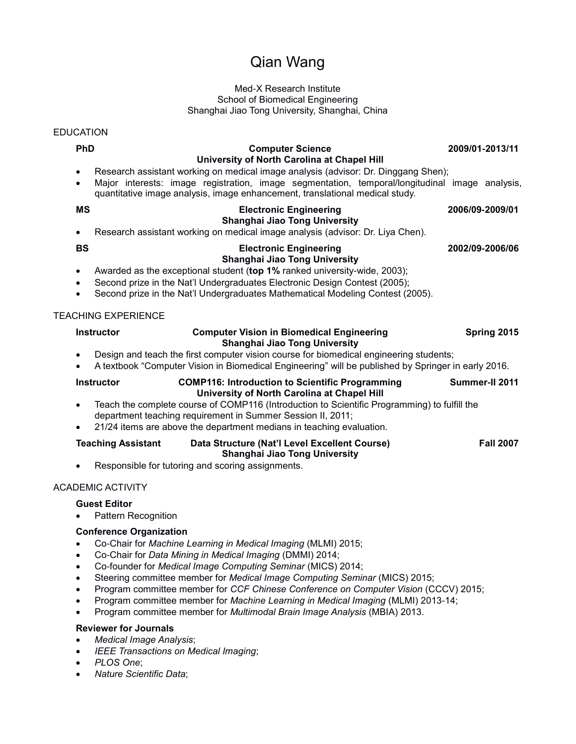# Qian Wang

#### Med-X Research Institute School of Biomedical Engineering Shanghai Jiao Tong University, Shanghai, China

### EDUCATION

| <b>PhD</b><br>$\bullet$<br>$\bullet$ |                                                                                                                                                                                                                                                                                                             | <b>Computer Science</b><br>University of North Carolina at Chapel Hill<br>Research assistant working on medical image analysis (advisor: Dr. Dinggang Shen);<br>Major interests: image registration, image segmentation, temporal/longitudinal image analysis,<br>quantitative image analysis, image enhancement, translational medical study. |                 | 2009/01-2013/11 |                  |
|--------------------------------------|-------------------------------------------------------------------------------------------------------------------------------------------------------------------------------------------------------------------------------------------------------------------------------------------------------------|------------------------------------------------------------------------------------------------------------------------------------------------------------------------------------------------------------------------------------------------------------------------------------------------------------------------------------------------|-----------------|-----------------|------------------|
| <b>MS</b>                            | <b>Electronic Engineering</b><br>Shanghai Jiao Tong University<br>Research assistant working on medical image analysis (advisor: Dr. Liya Chen).                                                                                                                                                            |                                                                                                                                                                                                                                                                                                                                                | 2006/09-2009/01 |                 |                  |
| <b>BS</b><br>$\bullet$               | <b>Electronic Engineering</b><br>Shanghai Jiao Tong University<br>Awarded as the exceptional student (top 1% ranked university-wide, 2003);<br>Second prize in the Nat'l Undergraduates Electronic Design Contest (2005);<br>Second prize in the Nat'l Undergraduates Mathematical Modeling Contest (2005). |                                                                                                                                                                                                                                                                                                                                                | 2002/09-2006/06 |                 |                  |
|                                      | <b>TEACHING EXPERIENCE</b><br><b>Instructor</b>                                                                                                                                                                                                                                                             | <b>Computer Vision in Biomedical Engineering</b><br>Shanghai Jiao Tong University<br>Design and teach the first computer vision course for biomedical engineering students;<br>A textbook "Computer Vision in Biomedical Engineering" will be published by Springer in early 2016.                                                             |                 |                 | Spring 2015      |
| $\bullet$                            | <b>Instructor</b>                                                                                                                                                                                                                                                                                           | <b>COMP116: Introduction to Scientific Programming</b><br>University of North Carolina at Chapel Hill<br>Teach the complete course of COMP116 (Introduction to Scientific Programming) to fulfill the<br>department teaching requirement in Summer Session II, 2011;<br>21/24 items are above the department medians in teaching evaluation.   |                 | Summer-II 2011  |                  |
|                                      | <b>Teaching Assistant</b>                                                                                                                                                                                                                                                                                   | Data Structure (Nat'l Level Excellent Course)<br>Shanghai Jiao Tong University<br>Responsible for tutoring and scoring assignments.                                                                                                                                                                                                            |                 |                 | <b>Fall 2007</b> |

## ACADEMIC ACTIVITY

## **Guest Editor**

• Pattern Recognition

## **Conference Organization**

- Co-Chair for *Machine Learning in Medical Imaging* (MLMI) 2015;
- Co-Chair for *Data Mining in Medical Imaging* (DMMI) 2014;
- Co-founder for *Medical Image Computing Seminar* (MICS) 2014;
- Steering committee member for *Medical Image Computing Seminar* (MICS) 2015;
- Program committee member for *CCF Chinese Conference on Computer Vision* (CCCV) 2015;
- Program committee member for *Machine Learning in Medical Imaging* (MLMI) 2013-14;
- Program committee member for *Multimodal Brain Image Analysis* (MBIA) 2013.

#### **Reviewer for Journals**

- *Medical Image Analysis*;
- *IEEE Transactions on Medical Imaging*;
- *PLOS One*;
- *Nature Scientific Data*;